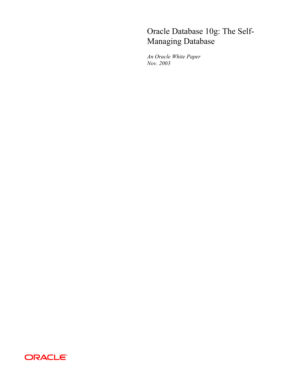# Oracle Database 10g: The Self-Managing Database

*An Oracle White Paper Nov. 2003* 

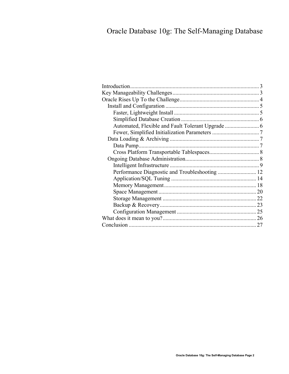# Oracle Database 10g: The Self-Managing Database

| Performance Diagnostic and Troubleshooting  12 |
|------------------------------------------------|
|                                                |
|                                                |
|                                                |
|                                                |
|                                                |
|                                                |
|                                                |
| 27                                             |
|                                                |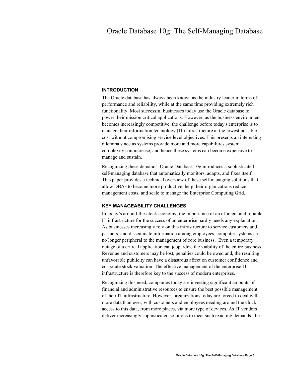# <span id="page-2-0"></span>Oracle Database 10g: The Self-Managing Database

#### **INTRODUCTION**

The Oracle database has always been known as the industry leader in terms of performance and reliability, while at the same time providing extremely rich functionality. Most successful businesses today use the Oracle database to power their mission critical applications. However, as the business environment becomes increasingly competitive, the challenge before today's enterprise is to manage their information technology (IT) infrastructure at the lowest possible cost without compromising service level objectives. This presents an interesting dilemma since as systems provide more and more capabilities system complexity can increase, and hence these systems can become expensive to manage and sustain.

Recognizing these demands, Oracle Database 10g introduces a sophisticated self-managing database that automatically monitors, adapts, and fixes itself. This paper provides a technical overview of these self-managing solutions that allow DBAs to become more productive, help their organizations reduce management costs, and scale to manage the Enterprise Computing Grid.

#### **KEY MANAGEABILITY CHALLENGES**

In today's around-the-clock economy, the importance of an efficient and reliable IT infrastructure for the success of an enterprise hardly needs any explanation. As businesses increasingly rely on this infrastructure to service customers and partners, and disseminate information among employees, computer systems are no longer peripheral to the management of core business. Even a temporary outage of a critical application can jeopardize the viability of the entire business. Revenue and customers may be lost, penalties could be owed and, the resulting unfavorable publicity can have a disastrous affect on customer confidence and corporate stock valuation. The effective management of the enterprise IT infrastructure is therefore key to the success of modern enterprises.

Recognizing this need, companies today are investing significant amounts of financial and administrative resources to ensure the best possible management of their IT infrastructure. However, organizations today are forced to deal with more data than ever, with customers and employees needing around the clock access to this data, from more places, via more type of devices. As IT vendors deliver increasingly sophisticated solutions to meet such exacting demands, the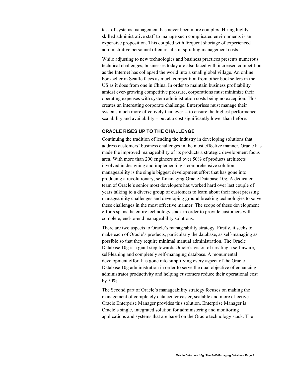<span id="page-3-0"></span>task of systems management has never been more complex. Hiring highly skilled administrative staff to manage such complicated environments is an expensive proposition. This coupled with frequent shortage of experienced administrative personnel often results in spiraling management costs.

While adjusting to new technologies and business practices presents numerous technical challenges, businesses today are also faced with increased competition as the Internet has collapsed the world into a small global village. An online bookseller in Seattle faces as much competition from other booksellers in the US as it does from one in China. In order to maintain business profitability amidst ever-growing competitive pressure, corporations must minimize their operating expenses with system administration costs being no exception. This creates an interesting corporate challenge. Enterprises must manage their systems much more effectively than ever -- to ensure the highest performance, scalability and availability – but at a cost significantly lower than before.

# **ORACLE RISES UP TO THE CHALLENGE**

Continuing the tradition of leading the industry in developing solutions that address customers' business challenges in the most effective manner, Oracle has made the improved manageability of its products a strategic development focus area. With more than 200 engineers and over 50% of products architects involved in designing and implementing a comprehensive solution, manageability is the single biggest development effort that has gone into producing a revolutionary, self-managing Oracle Database 10g. A dedicated team of Oracle's senior most developers has worked hard over last couple of years talking to a diverse group of customers to learn about their most pressing manageability challenges and developing ground breaking technologies to solve these challenges in the most effective manner. The scope of these development efforts spans the entire technology stack in order to provide customers with complete, end-to-end manageability solutions.

There are two aspects to Oracle's manageability strategy. Firstly, it seeks to make each of Oracle's products, particularly the database, as self-managing as possible so that they require minimal manual administration. The Oracle Database 10g is a giant step towards Oracle's vision of creating a self-aware. self-leaning and completely self-managing database. A monumental development effort has gone into simplifying every aspect of the Oracle Database 10g administration in order to serve the dual objective of enhancing administrator productivity and helping customers reduce their operational cost by 50%.

The Second part of Oracle's manageability strategy focuses on making the management of completely data center easier, scalable and more effective. Oracle Enterprise Manager provides this solution. Enterprise Manager is Oracle's single, integrated solution for administering and monitoring applications and systems that are based on the Oracle technology stack. The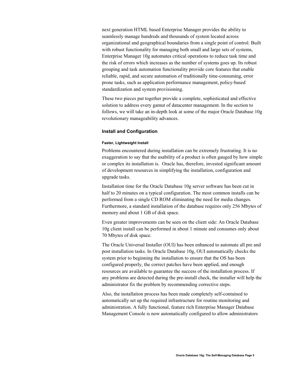<span id="page-4-0"></span>next generation HTML based Enterprise Manager provides the ability to seamlessly manage hundreds and thousands of system located across organizational and geographical boundaries from a single point of control. Built with robust functionality for managing both small and large sets of systems, Enterprise Manager 10g automates critical operations to reduce task time and the risk of errors which increases as the number of systems goes up. Its robust grouping and task automation functionality provide core features that enable reliable, rapid, and secure automation of traditionally time-consuming, error prone tasks, such as application performance management, policy-based standardization and system provisioning.

These two pieces put together provide a complete, sophisticated and effective solution to address every gamut of datacenter management. In the section to follows, we will take an in-depth look at some of the major Oracle Database 10g revolutionary manageability advances.

#### **Install and Configuration**

#### **Faster, Lightweight Install**

Problems encountered during installation can be extremely frustrating. It is no exaggeration to say that the usability of a product is often gauged by how simple or complex its installation is. Oracle has, therefore, invested significant amount of development resources in simplifying the installation, configuration and upgrade tasks.

Installation time for the Oracle Database 10g server software has been cut in half to 20 minutes on a typical configuration. The most common installs can be performed from a single CD ROM eliminating the need for media changes. Furthermore, a standard installation of the database requires only 256 Mbytes of memory and about 1 GB of disk space.

Even greater improvements can be seen on the client side: An Oracle Database 10g client install can be performed in about 1 minute and consumes only about 70 Mbytes of disk space.

The Oracle Universal Installer (OUI) has been enhanced to automate all pre and post installation tasks. In Oracle Database 10g, OUI automatically checks the system prior to beginning the installation to ensure that the OS has been configured properly, the correct patches have been applied, and enough resources are available to guarantee the success of the installation process. If any problems are detected during the pre-install check, the installer will help the administrator fix the problem by recommending corrective steps.

Also, the installation process has been made completely self-contained to automatically set up the required infrastructure for routine monitoring and administration. A fully functional, feature rich Enterprise Manager Database Management Console is now automatically configured to allow administrators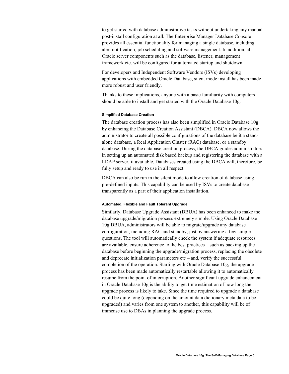<span id="page-5-0"></span>to get started with database administrative tasks without undertaking any manual post-install configuration at all. The Enterprise Manager Database Console provides all essential functionality for managing a single database, including alert notification, job scheduling and software management. In addition, all Oracle server components such as the database, listener, management framework etc. will be configured for automated startup and shutdown.

For developers and Independent Software Vendors (ISVs) developing applications with embedded Oracle Database, silent mode install has been made more robust and user friendly.

Thanks to these implications, anyone with a basic familiarity with computers should be able to install and get started with the Oracle Database 10g.

#### **Simplified Database Creation**

The database creation process has also been simplified in Oracle Database 10g by enhancing the Database Creation Assistant (DBCA). DBCA now allows the administrator to create all possible configurations of the database be it a standalone database, a Real Application Cluster (RAC) database, or a standby database. During the database creation process, the DBCA guides administrators in setting up an automated disk based backup and registering the database with a LDAP server, if available. Databases created using the DBCA will, therefore, be fully setup and ready to use in all respect.

DBCA can also be run in the silent mode to allow creation of database using pre-defined inputs. This capability can be used by ISVs to create database transparently as a part of their application installation.

#### **Automated, Flexible and Fault Tolerant Upgrade**

Similarly, Database Upgrade Assistant (DBUA) has been enhanced to make the database upgrade/migration process extremely simple. Using Oracle Database 10g DBUA, administrators will be able to migrate/upgrade any database configuration, including RAC and standby, just by answering a few simple questions. The tool will automatically check the system if adequate resources are available, ensure adherence to the best practices – such as backing up the database before beginning the upgrade/migration process, replacing the obsolete and deprecate initialization parameters  $etc -$  and, verify the successful completion of the operation. Starting with Oracle Database 10g, the upgrade process has been made automatically restartable allowing it to automatically resume from the point of interruption. Another significant upgrade enhancement in Oracle Database 10g is the ability to get time estimation of how long the upgrade process is likely to take. Since the time required to upgrade a database could be quite long (depending on the amount data dictionary meta data to be upgraded) and varies from one system to another, this capability will be of immense use to DBAs in planning the upgrade process.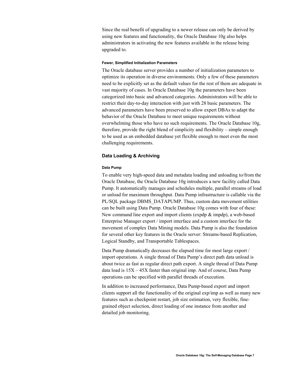<span id="page-6-0"></span>Since the real benefit of upgrading to a newer release can only be derived by using new features and functionality, the Oracle Database 10g also helps administrators in activating the new features available in the release being upgraded to.

#### **Fewer, Simplified Initialization Parameters**

The Oracle database server provides a number of initialization parameters to optimize its operation in diverse environments. Only a few of these parameters need to be explicitly set as the default values for the rest of them are adequate in vast majority of cases. In Oracle Database 10g the parameters have been categorized into basic and advanced categories. Administrators will be able to restrict their day-to-day interaction with just with 28 basic parameters. The advanced parameters have been preserved to allow expert DBAs to adapt the behavior of the Oracle Database to meet unique requirements without overwhelming those who have no such requirements. The Oracle Database 10g, therefore, provide the right blend of simplicity and flexibility – simple enough to be used as an embedded database yet flexible enough to meet even the most challenging requirements.

#### **Data Loading & Archiving**

#### **Data Pump**

To enable very high-speed data and metadata loading and unloading to/from the Oracle Database, the Oracle Database 10g introduces a new facility called Data Pump. It automatically manages and schedules multiple, parallel streams of load or unload for maximum throughput. Data Pump infrastructure is callable via the PL/SQL package DBMS\_DATAPUMP. Thus, custom data movement utilities can be built using Data Pump. Oracle Database 10g comes with four of these: New command line export and import clients (expdp & impdp), a web-based Enterprise Manager export / import interface and a custom interface for the movement of complex Data Mining models. Data Pump is also the foundation for several other key features in the Oracle server: Streams-based Replication, Logical Standby, and Transportable Tablespaces.

Data Pump dramatically decreases the elapsed time for most large export / import operations. A single thread of Data Pump's direct path data unload is about twice as fast as regular direct path export. A single thread of Data Pump data load is 15X – 45X faster than original imp. And of course, Data Pump operations can be specified with parallel threads of execution.

In addition to increased performance, Data Pump-based export and import clients support all the functionality of the original exp/imp as well as many new features such as checkpoint restart, job size estimation, very flexible, finegrained object selection, direct loading of one instance from another and detailed job monitoring.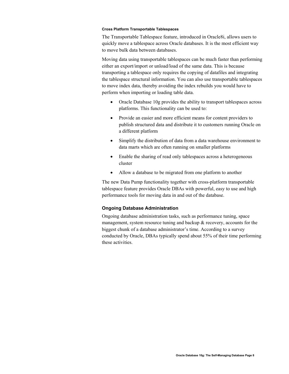#### <span id="page-7-0"></span>**Cross Platform Transportable Tablespaces**

The Transportable Tablespace feature, introduced in Oracle8i, allows users to quickly move a tablespace across Oracle databases. It is the most efficient way to move bulk data between databases.

Moving data using transportable tablespaces can be much faster than performing either an export/import or unload/load of the same data. This is because transporting a tablespace only requires the copying of datafiles and integrating the tablespace structural information. You can also use transportable tablespaces to move index data, thereby avoiding the index rebuilds you would have to perform when importing or loading table data.

- Oracle Database 10g provides the ability to transport tablespaces across platforms. This functionality can be used to:
- Provide an easier and more efficient means for content providers to publish structured data and distribute it to customers running Oracle on a different platform
- Simplify the distribution of data from a data warehouse environment to data marts which are often running on smaller platforms
- Enable the sharing of read only tablespaces across a heterogeneous cluster
- Allow a database to be migrated from one platform to another

The new Data Pump functionality together with cross-platform transportable tablespace feature provides Oracle DBAs with powerful, easy to use and high performance tools for moving data in and out of the database.

# **Ongoing Database Administration**

Ongoing database administration tasks, such as performance tuning, space management, system resource tuning and backup  $\&$  recovery, accounts for the biggest chunk of a database administrator's time. According to a survey conducted by Oracle, DBAs typically spend about 55% of their time performing these activities.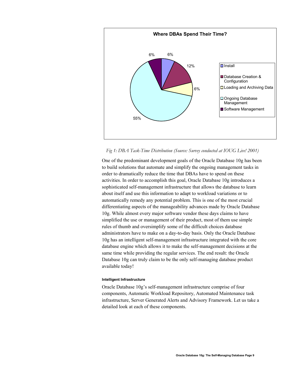<span id="page-8-0"></span>

### *Fig 1: DBA Task-Time Distribution (Source: Survey conducted at IOUG Live! 2001)*

One of the predominant development goals of the Oracle Database 10g has been to build solutions that automate and simplify the ongoing management tasks in order to dramatically reduce the time that DBAs have to spend on these activities. In order to accomplish this goal, Oracle Database 10g introduces a sophisticated self-management infrastructure that allows the database to learn about itself and use this information to adapt to workload variations or to automatically remedy any potential problem. This is one of the most crucial differentiating aspects of the manageability advances made by Oracle Database 10g. While almost every major software vendor these days claims to have simplified the use or management of their product, most of them use simple rules of thumb and oversimplify some of the difficult choices database administrators have to make on a day-to-day basis. Only the Oracle Database 10g has an intelligent self-management infrastructure integrated with the core database engine which allows it to make the self-management decisions at the same time while providing the regular services. The end result: the Oracle Database 10g can truly claim to be the only self-managing database product available today!

#### **Intelligent Infrastructure**

Oracle Database 10g's self-management infrastructure comprise of four components, Automatic Workload Repository, Automated Maintenance task infrastructure, Server Generated Alerts and Advisory Framework. Let us take a detailed look at each of these components.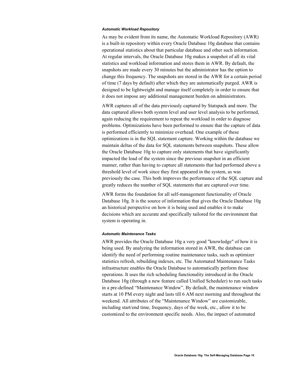#### *Automatic Workload Repository*

As may be evident from its name, the Automatic Workload Repository (AWR) is a built-in repository within every Oracle Database 10g database that contains operational statistics about that particular database and other such information. At regular intervals, the Oracle Database 10g makes a snapshot of all its vital statistics and workload information and stores them in AWR. By default, the snapshots are made every 30 minutes but the administrator has the option to change this frequency. The snapshots are stored in the AWR for a certain period of time (7 days by default) after which they are automatically purged. AWR is designed to be lightweight and manage itself completely in order to ensure that it does not impose any additional management burden on administrators.

AWR captures all of the data previously captured by Statspack and more. The data captured allows both system level and user level analysis to be performed, again reducing the requirement to repeat the workload in order to diagnose problems. Optimizations have been performed to ensure that the capture of data is performed efficiently to minimize overhead. One example of these optimizations is in the SQL statement capture. Working within the database we maintain deltas of the data for SQL statements between snapshots. These allow the Oracle Database 10g to capture only statements that have significantly impacted the load of the system since the previous snapshot in an efficient manner, rather than having to capture all statements that had performed above a threshold level of work since they first appeared in the system, as was previously the case. This both improves the performance of the SQL capture and greatly reduces the number of SQL statements that are captured over time.

AWR forms the foundation for all self-management functionality of Oracle Database 10g. It is the source of information that gives the Oracle Database 10g an historical perspective on how it is being used and enables it to make decisions which are accurate and specifically tailored for the environment that system is operating in.

### *Automatic Maintenance Tasks*

AWR provides the Oracle Database 10g a very good "knowledge" of how it is being used. By analyzing the information stored in AWR, the database can identify the need of performing routine maintenance tasks, such as optimizer statistics refresh, rebuilding indexes, etc. The Automated Maintenance Tasks infrastructure enables the Oracle Database to automatically perform those operations. It uses the rich scheduling functionality introduced in the Oracle Database 10g (through a new feature called Unified Scheduler) to run such tasks in a pre-defined "Maintenance Window". By default, the maintenance window starts at 10 PM every night and lasts till 6 AM next morning and throughout the weekend. All attributes of the "Maintenance Window" are customizable, including start/end time, frequency, days of the week, etc., allow it to be customized to the environment specific needs. Also, the impact of automated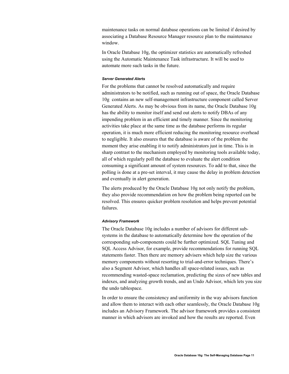maintenance tasks on normal database operations can be limited if desired by associating a Database Resource Manager resource plan to the maintenance window.

In Oracle Database 10g, the optimizer statistics are automatically refreshed using the Automatic Maintenance Task infrastructure. It will be used to automate more such tasks in the future.

#### *Server Generated Alerts*

For the problems that cannot be resolved automatically and require administrators to be notified, such as running out of space, the Oracle Database 10g contains an new self-management infrastructure component called Server Generated Alerts. As may be obvious from its name, the Oracle Database 10g has the ability to monitor itself and send out alerts to notify DBAs of any impending problem in an efficient and timely manner. Since the monitoring activities take place at the same time as the database performs its regular operation, it is much more efficient reducing the monitoring resource overhead to negligible. It also ensures that the database is aware of the problem the moment they arise enabling it to notify administrators just in time. This is in sharp contrast to the mechanism employed by monitoring tools available today, all of which regularly poll the database to evaluate the alert condition consuming a significant amount of system resources. To add to that, since the polling is done at a pre-set interval, it may cause the delay in problem detection and eventually in alert generation.

The alerts produced by the Oracle Database 10g not only notify the problem, they also provide recommendation on how the problem being reported can be resolved. This ensures quicker problem resolution and helps prevent potential failures.

#### *Advisory Framework*

The Oracle Database 10g includes a number of advisors for different subsystems in the database to automatically determine how the operation of the corresponding sub-components could be further optimized. SQL Tuning and SQL Access Advisor, for example, provide recommendations for running SQL statements faster. Then there are memory advisers which help size the various memory components without resorting to trial-and-error techniques. There's also a Segment Advisor, which handles all space-related issues, such as recommending wasted-space reclamation, predicting the sizes of new tables and indexes, and analyzing growth trends, and an Undo Advisor, which lets you size the undo tablespace.

In order to ensure the consistency and uniformity in the way advisors function and allow them to interact with each other seamlessly, the Oracle Database 10g includes an Advisory Framework. The advisor framework provides a consistent manner in which advisors are invoked and how the results are reported. Even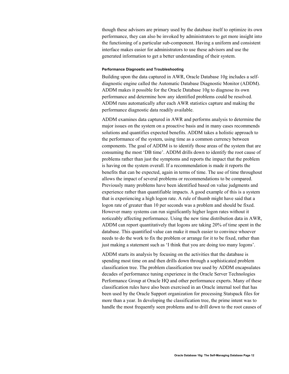<span id="page-11-0"></span>though these advisors are primary used by the database itself to optimize its own performance, they can also be invoked by administrators to get more insight into the functioning of a particular sub-component. Having a uniform and consistent interface makes easier for administrators to use these advisors and use the generated information to get a better understanding of their system.

#### **Performance Diagnostic and Troubleshooting**

Building upon the data captured in AWR, Oracle Database 10g includes a selfdiagnostic engine called the Automatic Database Diagnostic Monitor (ADDM). ADDM makes it possible for the Oracle Database 10g to diagnose its own performance and determine how any identified problems could be resolved. ADDM runs automatically after each AWR statistics capture and making the performance diagnostic data readily available.

ADDM examines data captured in AWR and performs analysis to determine the major issues on the system on a proactive basis and in many cases recommends solutions and quantifies expected benefits. ADDM takes a holistic approach to the performance of the system, using time as a common currency between components. The goal of ADDM is to identify those areas of the system that are consuming the most 'DB time'. ADDM drills down to identify the root cause of problems rather than just the symptoms and reports the impact that the problem is having on the system overall. If a recommendation is made it reports the benefits that can be expected, again in terms of time. The use of time throughout allows the impact of several problems or recommendations to be compared. Previously many problems have been identified based on value judgments and experience rather than quantifiable impacts. A good example of this is a system that is experiencing a high logon rate. A rule of thumb might have said that a logon rate of greater than 10 per seconds was a problem and should be fixed. However many systems can run significantly higher logon rates without it noticeably affecting performance. Using the new time distribution data in AWR, ADDM can report quantitatively that logons are taking 20% of time spent in the database. This quantified value can make it much easier to convince whoever needs to do the work to fix the problem or arrange for it to be fixed, rather than just making a statement such as 'I think that you are doing too many logons'.

ADDM starts its analysis by focusing on the activities that the database is spending most time on and then drills down through a sophisticated problem classification tree. The problem classification tree used by ADDM encapsulates decades of performance tuning experience in the Oracle Server Technologies Performance Group at Oracle HQ and other performance experts. Many of these classification rules have also been exercised in an Oracle internal tool that has been used by the Oracle Support organization for processing Statspack files for more than a year. In developing the classification tree, the prime intent was to handle the most frequently seen problems and to drill down to the root causes of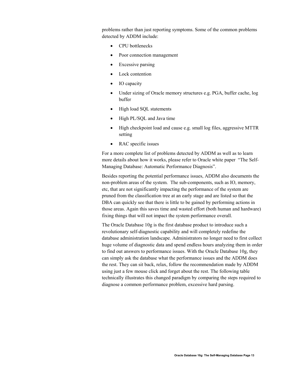problems rather than just reporting symptoms. Some of the common problems detected by ADDM include:

- CPU bottlenecks
- Poor connection management
- Excessive parsing
- Lock contention
- IO capacity
- Under sizing of Oracle memory structures e.g. PGA, buffer cache, log buffer
- High load SQL statements
- High PL/SQL and Java time
- High checkpoint load and cause e.g. small log files, aggressive MTTR setting
- RAC specific issues

For a more complete list of problems detected by ADDM as well as to learn more details about how it works, please refer to Oracle white paper "The Self-Managing Database: Automatic Performance Diagnosis".

Besides reporting the potential performance issues, ADDM also documents the non-problem areas of the system. The sub-components, such as IO, memory, etc, that are not significantly impacting the performance of the system are pruned from the classification tree at an early stage and are listed so that the DBA can quickly see that there is little to be gained by performing actions in those areas. Again this saves time and wasted effort (both human and hardware) fixing things that will not impact the system performance overall.

The Oracle Database 10g is the first database product to introduce such a revolutionary self-diagnostic capability and will completely redefine the database administration landscape. Administrators no longer need to first collect huge volume of diagnostic data and spend endless hours analyzing them in order to find out answers to performance issues. With the Oracle Database 10g, they can simply ask the database what the performance issues and the ADDM does the rest. They can sit back, relax, follow the recommendation made by ADDM using just a few mouse click and forget about the rest. The following table technically illustrates this changed paradigm by comparing the steps required to diagnose a common performance problem, excessive hard parsing.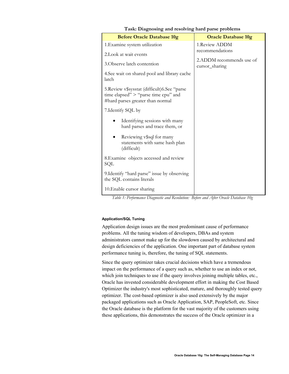<span id="page-13-0"></span>

| <b>Before Oracle Database 10g</b>                                                                                          | <b>Oracle Database 10g</b>                                                             |
|----------------------------------------------------------------------------------------------------------------------------|----------------------------------------------------------------------------------------|
| 1. Examine system utilization                                                                                              | 1.Review ADDM                                                                          |
| 2. Look at wait events                                                                                                     | recommendations                                                                        |
| 3. Observe latch contention                                                                                                | 2.ADDM recommends use of<br>cursor_sharing                                             |
| 4. See wait on shared pool and library cache<br>latch                                                                      |                                                                                        |
| 5. Review v\$sysstat (difficult) 6. See "parse<br>time elapsed" > "parse time cpu" and<br>#hard parses greater than normal |                                                                                        |
| 7. Identify SQL by                                                                                                         |                                                                                        |
| Identifying sessions with many<br>hard parses and trace them, or                                                           |                                                                                        |
| Reviewing v\$sql for many<br>statements with same hash plan<br>(difficult)                                                 |                                                                                        |
| 8. Examine objects accessed and review<br>SQL                                                                              |                                                                                        |
| 9. Identify "hard parse" issue by observing<br>the SQL contains literals                                                   |                                                                                        |
| 10. Enable cursor sharing                                                                                                  |                                                                                        |
| $\tau$ $\tau$<br>$\mathbf{r}$ .<br>T111T                                                                                   | $\Lambda$ . $\Lambda$ .<br>$\overline{1}$ $\overline{1}$ $\overline{1}$ $\overline{1}$ |

# **Task: Diagnosing and resolving hard parse problems**

*Table 1: Performance Diagnostic and Resolution: Before and After Oracle Database 10g* 

# **Application/SQL Tuning**

Application design issues are the most predominant cause of performance problems. All the tuning wisdom of developers, DBAs and system administrators cannot make up for the slowdown caused by architectural and design deficiencies of the application. One important part of database system performance tuning is, therefore, the tuning of SQL statements.

Since the query optimizer takes crucial decisions which have a tremendous impact on the performance of a query such as, whether to use an index or not, which join techniques to use if the query involves joining multiple tables, etc., Oracle has invested considerable development effort in making the Cost Based Optimizer the industry's most sophisticated, mature, and thoroughly tested query optimizer. The cost-based optimizer is also used extensively by the major packaged applications such as Oracle Application, SAP, PeopleSoft, etc. Since the Oracle database is the platform for the vast majority of the customers using these applications, this demonstrates the success of the Oracle optimizer in a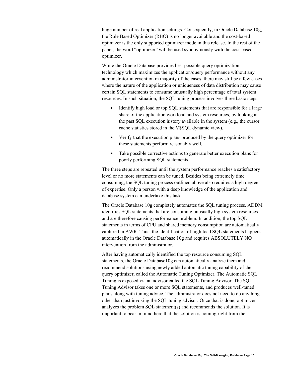huge number of real application settings. Consequently, in Oracle Database 10g, the Rule Based Optimizer (RBO) is no longer available and the cost-based optimizer is the only supported optimizer mode in this release. In the rest of the paper, the word "optimizer" will be used synonymously with the cost-based optimizer.

While the Oracle Database provides best possible query optimization technology which maximizes the application/query performance without any administrator intervention in majority of the cases, there may still be a few cases where the nature of the application or uniqueness of data distribution may cause certain SQL statements to consume unusually high percentage of total system resources. In such situation, the SQL tuning process involves three basic steps:

- Identify high load or top SQL statements that are responsible for a large share of the application workload and system resources, by looking at the past SQL execution history available in the system (e.g., the cursor cache statistics stored in the V\$SQL dynamic view),
- Verify that the execution plans produced by the query optimizer for these statements perform reasonably well,
- Take possible corrective actions to generate better execution plans for poorly performing SQL statements.

The three steps are repeated until the system performance reaches a satisfactory level or no more statements can be tuned. Besides being extremely time consuming, the SQL tuning process outlined above also requires a high degree of expertise. Only a person with a deep knowledge of the application and database system can undertake this task.

The Oracle Database 10g completely automates the SQL tuning process. ADDM identifies SQL statements that are consuming unusually high system resources and are therefore causing performance problem. In addition, the top SQL statements in terms of CPU and shared memory consumption are automatically captured in AWR. Thus, the identification of high load SQL statements happens automatically in the Oracle Database 10g and requires ABSOLUTELY NO intervention from the administrator.

After having automatically identified the top resource consuming SQL statements, the Oracle Database10g can automatically analyze them and recommend solutions using newly added automatic tuning capability of the query optimizer, called the Automatic Tuning Optimizer. The Automatic SQL Tuning is exposed via an advisor called the SQL Tuning Advisor. The SQL Tuning Advisor takes one or more SQL statements, and produces well-tuned plans along with tuning advice. The administrator does not need to do anything other than just invoking the SQL tuning advisor. Once that is done, optimizer analyzes the problem SQL statement(s) and recommends the solution. It is important to bear in mind here that the solution is coming right from the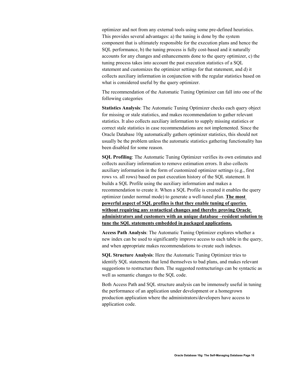optimizer and not from any external tools using some pre-defined heuristics. This provides several advantages: a) the tuning is done by the system component that is ultimately responsible for the execution plans and hence the SQL performance, b) the tuning process is fully cost-based and it naturally accounts for any changes and enhancements done to the query optimizer, c) the tuning process takes into account the past execution statistics of a SQL statement and customizes the optimizer settings for that statement, and d) it collects auxiliary information in conjunction with the regular statistics based on what is considered useful by the query optimizer.

The recommendation of the Automatic Tuning Optimizer can fall into one of the following categories

**Statistics Analysis**: The Automatic Tuning Optimizer checks each query object for missing or stale statistics, and makes recommendation to gather relevant statistics. It also collects auxiliary information to supply missing statistics or correct stale statistics in case recommendations are not implemented. Since the Oracle Database 10g automatically gathers optimizer statistics, this should not usually be the problem unless the automatic statistics gathering functionality has been disabled for some reason.

**SQL Profiling**: The Automatic Tuning Optimizer verifies its own estimates and collects auxiliary information to remove estimation errors. It also collects auxiliary information in the form of customized optimizer settings (e.g., first rows vs. all rows) based on past execution history of the SQL statement. It builds a SQL Profile using the auxiliary information and makes a recommendation to create it. When a SQL Profile is created it enables the query optimizer (under normal mode) to generate a well-tuned plan. **The most powerful aspect of SQL profiles is that they enable tuning of queries without requiring any syntactical changes and thereby proving Oracle administrators and customers with an unique database –resident solution to tune the SQL statements embedded in packaged applications.**

**Access Path Analysis**: The Automatic Tuning Optimizer explores whether a new index can be used to significantly improve access to each table in the query, and when appropriate makes recommendations to create such indexes.

**SQL Structure Analysis**: Here the Automatic Tuning Optimizer tries to identify SQL statements that lend themselves to bad plans, and makes relevant suggestions to restructure them. The suggested restructurings can be syntactic as well as semantic changes to the SQL code.

Both Access Path and SQL structure analysis can be immensely useful in tuning the performance of an application under development or a homegrown production application where the administrators/developers have access to application code.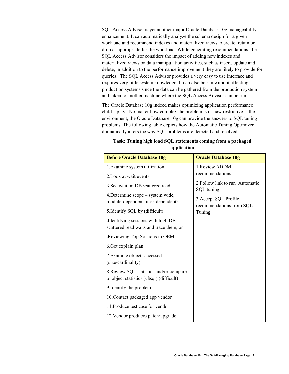SQL Access Advisor is yet another major Oracle Database 10g manageability enhancement. It can automatically analyze the schema design for a given workload and recommend indexes and materialized views to create, retain or drop as appropriate for the workload. While generating recommendations, the SQL Access Advisor considers the impact of adding new indexes and materialized views on data manipulation activities, such as insert, update and delete, in addition to the performance improvement they are likely to provide for queries. The SQL Access Advisor provides a very easy to use interface and requires very little system knowledge. It can also be run without affecting production systems since the data can be gathered from the production system and taken to another machine where the SQL Access Advisor can be run.

The Oracle Database 10g indeed makes optimizing application performance child's play. No matter how complex the problem is or how restrictive is the environment, the Oracle Database 10g can provide the answers to SQL tuning problems. The following table depicts how the Automatic Tuning Optimizer dramatically alters the way SQL problems are detected and resolved.

| <b>Before Oracle Database 10g</b>                                                    | <b>Oracle Database 10g</b>                        |
|--------------------------------------------------------------------------------------|---------------------------------------------------|
| 1. Examine system utilization                                                        | 1. Review ADDM                                    |
| 2. Look at wait events                                                               | recommendations                                   |
| 3. See wait on DB scattered read                                                     | 2. Follow link to run Automatic<br>SQL tuning     |
| 4. Determine scope – system wide,<br>module-dependent, user-dependent?               | 3. Accept SQL Profile<br>recommendations from SQL |
| 5. Identify SQL by (difficult)                                                       | Tuning                                            |
| Identifying sessions with high DB<br>scattered read waits and trace them, or         |                                                   |
| Reviewing Top Sessions in OEM                                                        |                                                   |
| 6. Get explain plan                                                                  |                                                   |
| 7. Examine objects accessed<br>(size/cardinality)                                    |                                                   |
| 8. Review SQL statistics and/or compare<br>to object statistics (v\$sql) (difficult) |                                                   |
| 9. Identify the problem                                                              |                                                   |
| 10. Contact packaged app vendor                                                      |                                                   |
| 11. Produce test case for vendor                                                     |                                                   |
| 12. Vendor produces patch/upgrade                                                    |                                                   |

# **Task: Tuning high load SQL statements coming from a packaged application**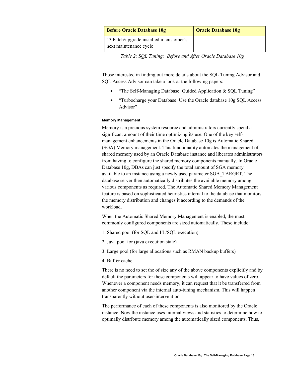<span id="page-17-0"></span>

| <b>Before Oracle Database 10g</b>                                   | <b>Oracle Database 10g</b> |
|---------------------------------------------------------------------|----------------------------|
| 13. Patch/upgrade installed in customer's<br>next maintenance cycle |                            |

*Table 2: SQL Tuning: Before and After Oracle Database 10g* 

Those interested in finding out more details about the SQL Tuning Advisor and SQL Access Advisor can take a look at the following papers:

- "The Self-Managing Database: Guided Application & SQL Tuning"
- "Turbocharge your Database: Use the Oracle database 10g SQL Access Advisor"

# **Memory Management**

Memory is a precious system resource and administrators currently spend a significant amount of their time optimizing its use. One of the key selfmanagement enhancements in the Oracle Database 10g is Automatic Shared (SGA) Memory management. This functionality automates the management of shared memory used by an Oracle Database instance and liberates administrators from having to configure the shared memory components manually. In Oracle Database 10g, DBAs can just specify the total amount of SGA memory available to an instance using a newly used parameter SGA\_TARGET. The database server then automatically distributes the available memory among various components as required. The Automatic Shared Memory Management feature is based on sophisticated heuristics internal to the database that monitors the memory distribution and changes it according to the demands of the workload.

When the Automatic Shared Memory Management is enabled, the most commonly configured components are sized automatically. These include:

- 1. Shared pool (for SQL and PL/SQL execution)
- 2. Java pool for (java execution state)
- 3. Large pool (for large allocations such as RMAN backup buffers)
- 4. Buffer cache

There is no need to set the of size any of the above components explicitly and by default the parameters for these components will appear to have values of zero. Whenever a component needs memory, it can request that it be transferred from another component via the internal auto-tuning mechanism. This will happen transparently without user-intervention.

The performance of each of these components is also monitored by the Oracle instance. Now the instance uses internal views and statistics to determine how to optimally distribute memory among the automatically sized components. Thus,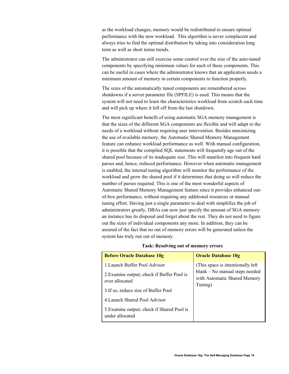as the workload changes, memory would be redistributed to ensure optimal performance with the new workload. This algorithm is never complacent and always tries to find the optimal distribution by taking into consideration long term as well as short terms trends.

The administrator can still exercise some control over the size of the auto-tuned components by specifying minimum values for each of these components. This can be useful in cases where the administrator knows that an application needs a minimum amount of memory in certain components to function properly.

The sizes of the automatically tuned components are remembered across shutdowns if a server parameter file (SPFILE) is used. This means that the system will not need to learn the characteristics workload from scratch each time and will pick up where it left off from the last shutdown.

The most significant benefit of using automatic SGA memory management is that the sizes of the different SGA components are flexible and will adapt to the needs of a workload without requiring user intervention. Besides maximizing the use of available memory, the Automatic Shared Memory Management feature can enhance workload performance as well. With manual configuration, it is possible that the compiled SQL statements will frequently age out of the shared pool because of its inadequate size. This will manifest into frequent hard parses and, hence, reduced performance. However when automatic management is enabled, the internal tuning algorithm will monitor the performance of the workload and grow the shared pool if it determines that doing so will reduce the number of parses required. This is one of the most wonderful aspects of Automatic Shared Memory Management feature since it provides enhanced outof-box performance, without requiring any additional resources or manual tuning effort. Having just a single parameter to deal with simplifies the job of administrators greatly. DBAs can now just specify the amount of SGA memory an instance has its disposal and forget about the rest. They do not need to figure out the sizes of individual components any more. In addition, they can be assured of the fact that no out of memory errors will be generated unless the system has truly run out of memory.

| <b>Before Oracle Database 10g</b>                             | <b>Oracle Database 10g</b>                                                |
|---------------------------------------------------------------|---------------------------------------------------------------------------|
| 1. Launch Buffer Pool Advisor                                 | (This space is intentionally left)                                        |
| 2. Examine output; check if Buffer Pool is<br>over allocated  | blank – No manual steps needed<br>with Automatic Shared Memory<br>Tuning) |
| 3. If so, reduce size of Buffer Pool                          |                                                                           |
| 4. Launch Shared Pool Advisor                                 |                                                                           |
| 5. Examine output; check if Shared Pool is<br>under allocated |                                                                           |

#### **Task: Resolving out of memory errors**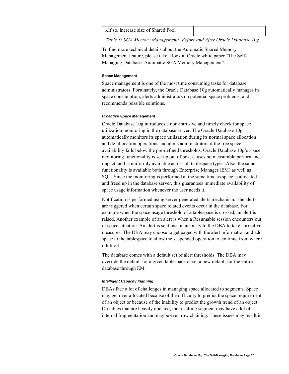<span id="page-19-0"></span>

| 6. If so, increase size of Shared Pool |  |
|----------------------------------------|--|
|----------------------------------------|--|

*Table 3: SGA Memory Management: Before and After Oracle Database 10g* 

To find more technical details about the Automatic Shared Memory Management feature, please take a look at Oracle white paper "The Self-Managing Database: Automatic SGA Memory Management".

#### **Space Management**

Space management is one of the most time consuming tasks for database administrators. Fortunately, the Oracle Database 10g automatically manages its space consumption, alerts administrators on potential space problems, and recommends possible solutions.

#### *Proactive Space Management*

Oracle Database 10g introduces a non-intrusive and timely check for space utilization monitoring in the database server. The Oracle Database 10g automatically monitors its space utilization during its normal space allocation and de-allocation operations and alerts administrators if the free space availability falls below the pre-defined thresholds. Oracle Database 10g's space monitoring functionality is set up out of box, causes no measurable performance impact, and is uniformly available across all tablespace types. Also, the same functionality is available both through Enterprise Manager (EM) as well as SQL. Since the monitoring is performed at the same time as space is allocated and freed up in the database server, this guarantees immediate availability of space usage information whenever the user needs it.

Notification is performed using server generated alerts mechanism. The alerts are triggered when certain space related events occur in the database. For example when the space usage threshold of a tablespace is crossed, an alert is raised. Another example of an alert is when a Resumable session encounters out of space situation. An alert is sent instantaneously to the DBA to take corrective measures. The DBA may choose to get paged with the alert information and add space to the tablespace to allow the suspended operation to continue from where it left off.

The database comes with a default set of alert thresholds. The DBA may override the default for a given tablespace or set a new default for the entire database through EM.

#### *Intelligent Capacity Planning*

DBAs face a lot of challenges in managing space allocated to segments. Space may get over allocated because of the difficulty to predict the space requirement of an object or because of the inability to predict the growth trend of an object. On tables that are heavily updated, the resulting segment may have a lot of internal fragmentation and maybe even row chaining. These issues may result in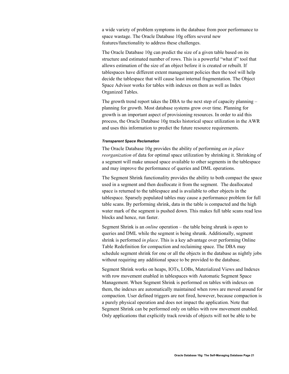a wide variety of problem symptoms in the database from poor performance to space wastage. The Oracle Database 10g offers several new features/functionality to address these challenges.

The Oracle Database 10g can predict the size of a given table based on its structure and estimated number of rows. This is a powerful "what if" tool that allows estimation of the size of an object before it is created or rebuilt. If tablespaces have different extent management policies then the tool will help decide the tablespace that will cause least internal fragmentation. The Object Space Advisor works for tables with indexes on them as well as Index Organized Tables.

The growth trend report takes the DBA to the next step of capacity planning – planning for growth. Most database systems grow over time. Planning for growth is an important aspect of provisioning resources. In order to aid this process, the Oracle Database 10g tracks historical space utilization in the AWR and uses this information to predict the future resource requirements.

#### *Transparent Space Reclamation*

The Oracle Database 10g provides the ability of performing *an in place reorganization* of data for optimal space utilization by shrinking it. Shrinking of a segment will make unused space available to other segments in the tablespace and may improve the performance of queries and DML operations.

The Segment Shrink functionality provides the ability to both compact the space used in a segment and then deallocate it from the segment. The deallocated space is returned to the tablespace and is available to other objects in the tablespace. Sparsely populated tables may cause a performance problem for full table scans. By performing shrink, data in the table is compacted and the high water mark of the segment is pushed down. This makes full table scans read less blocks and hence, run faster.

Segment Shrink is an *online* operation – the table being shrunk is open to queries and DML while the segment is being shrunk. Additionally, segment shrink is performed *in place*. This is a key advantage over performing Online Table Redefinition for compaction and reclaiming space. The DBA may schedule segment shrink for one or all the objects in the database as nightly jobs without requiring any additional space to be provided to the database.

Segment Shrink works on heaps, IOTs, LOBs, Materialized Views and Indexes with row movement enabled in tablespaces with Automatic Segment Space Management. When Segment Shrink is performed on tables with indexes on them, the indexes are automatically maintained when rows are moved around for compaction. User defined triggers are not fired, however, because compaction is a purely physical operation and does not impact the application. Note that Segment Shrink can be performed only on tables with row movement enabled. Only applications that explicitly track rowids of objects will not be able to be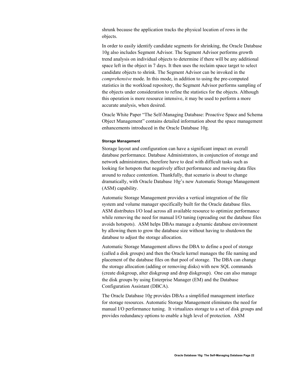<span id="page-21-0"></span>shrunk because the application tracks the physical location of rows in the objects.

In order to easily identify candidate segments for shrinking, the Oracle Database 10g also includes Segment Advisor. The Segment Advisor performs growth trend analysis on individual objects to determine if there will be any additional space left in the object in 7 days. It then uses the reclaim space target to select candidate objects to shrink. The Segment Advisor can be invoked in the *comprehensive* mode. In this mode, in addition to using the pre-computed statistics in the workload repository, the Segment Advisor performs sampling of the objects under consideration to refine the statistics for the objects. Although this operation is more resource intensive, it may be used to perform a more accurate analysis, when desired.

Oracle White Paper "The Self-Managing Database: Proactive Space and Schema Object Management" contains detailed information about the space management enhancements introduced in the Oracle Database 10g.

#### **Storage Management**

Storage layout and configuration can have a significant impact on overall database performance. Database Administrators, in conjunction of storage and network administrators, therefore have to deal with difficult tasks such as looking for hotspots that negatively affect performance and moving data files around to reduce contention. Thankfully, that scenario is about to change dramatically, with Oracle Database 10*g*'s new Automatic Storage Management (ASM) capability.

Automatic Storage Management provides a vertical integration of the file system and volume manager specifically built for the Oracle database files. ASM distributes I/O load across all available resource to optimize performance while removing the need for manual I/O tuning (spreading out the database files avoids hotspots). ASM helps DBAs manage a dynamic database environment by allowing them to grow the database size without having to shutdown the database to adjust the storage allocation.

Automatic Storage Management allows the DBA to define a pool of storage (called a disk groups) and then the Oracle kernel manages the file naming and placement of the database files on that pool of storage. The DBA can change the storage allocation (adding or removing disks) with new SQL commands (create diskgroup, alter diskgroup and drop diskgroup). One can also manage the disk groups by using Enterprise Manager (EM) and the Database Configuration Assistant (DBCA).

The Oracle Database 10*g* provides DBAs a simplified management interface for storage resources. Automatic Storage Management eliminates the need for manual I/O performance tuning. It virtualizes storage to a set of disk groups and provides redundancy options to enable a high level of protection. ASM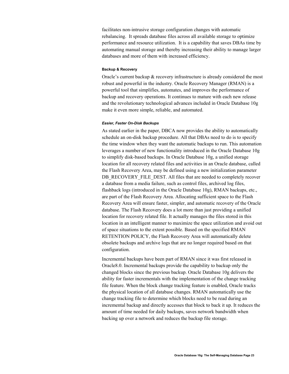<span id="page-22-0"></span>facilitates non-intrusive storage configuration changes with automatic rebalancing. It spreads database files across all available storage to optimize performance and resource utilization. It is a capability that saves DBAs time by automating manual storage and thereby increasing their ability to manage larger databases and more of them with increased efficiency.

#### **Backup & Recovery**

Oracle's current backup & recovery infrastructure is already considered the most robust and powerful in the industry. Oracle Recovery Manager (RMAN) is a powerful tool that simplifies, automates, and improves the performance of backup and recovery operations. It continues to mature with each new release and the revolutionary technological advances included in Oracle Database 10g make it even more simple, reliable, and automated.

#### *Easier, Faster On-Disk Backups*

As stated earlier in the paper, DBCA now provides the ability to automatically schedule an on-disk backup procedure. All that DBAs need to do is to specify the time window when they want the automatic backups to run. This automation leverages a number of new functionality introduced in the Oracle Database 10g to simplify disk-based backups. In Oracle Database 10g, a unified storage location for all recovery related files and activities in an Oracle database, called the Flash Recovery Area, may be defined using a new initialization parameter DB\_RECOVERY\_FILE\_DEST. All files that are needed to completely recover a database from a media failure, such as control files, archived log files, flashback logs (introduced in the Oracle Database 10g), RMAN backups, etc., are part of the Flash Recovery Area. Allocating sufficient space to the Flash Recovery Area will ensure faster, simpler, and automatic recovery of the Oracle database. The Flash Recovery does a lot more than just providing a unified location for recovery related file. It actually manages the files stored in this location in an intelligent manner to maximize the space utilization and avoid out of space situations to the extent possible. Based on the specified RMAN RETENTION POLICY, the Flash Recovery Area will automatically delete obsolete backups and archive logs that are no longer required based on that configuration.

Incremental backups have been part of RMAN since it was first released in Oracle8.0. Incremental backups provide the capability to backup only the changed blocks since the previous backup. Oracle Database 10g delivers the ability for faster incrementals with the implementation of the change tracking file feature. When the block change tracking feature is enabled, Oracle tracks the physical location of all database changes. RMAN automatically use the change tracking file to determine which blocks need to be read during an incremental backup and directly accesses that block to back it up. It reduces the amount of time needed for daily backups, saves network bandwidth when backing up over a network and reduces the backup file storage.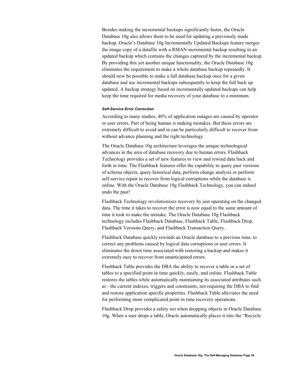Besides making the incremental backups significantly faster, the Oracle Database 10g also allows them to be used for updating a previously made backup. Oracle's Database 10g Incrementally Updated Backups feature merges the image copy of a datafile with a RMAN incremental backup resulting in an updated backup which contains the changes captured by the incremental backup. By providing this yet another unique functionality, the Oracle Database 10g eliminates the requirement to make a whole database backup repeatedly. It should now be possible to make a full database backup once for a given database and use incremental backups subsequently to keep the full back up updated. A backup strategy based on incrementally updated backups can help keep the time required for media recovery of your database to a minimum.

#### *Self-Service Error Correction*

According to many studies, 40% of application outages are caused by operator or user errors. Part of being human is making mistakes. But these errors are extremely difficult to avoid and in can be particularly difficult to recover from without advance planning and the right technology.

The Oracle Database 10g architecture leverages the unique technological advances in the area of database recovery due to human errors. Flashback Technology provides a set of new features to view and rewind data back and forth in time. The Flashback features offer the capability to query past versions of schema objects, query historical data, perform change analysis or perform self-service repair to recover from logical corruptions while the database is online. With the Oracle Database 10g Flashback Technology, you can indeed undo the past!

Flashback Technology revolutionizes recovery by just operating on the changed data. The time it takes to recover the error is now equal to the same amount of time it took to make the mistake. The Oracle Database 10g Flashback technology includes Flashback Database, Flashback Table, Flashback Drop, Flashback Versions Query, and Flashback Transaction Query.

Flashback Database quickly rewinds an Oracle database to a previous time, to correct any problems caused by logical data corruptions or user errors. It eliminates the down time associated with restoring a backup and makes it extremely easy to recover from unanticipated errors.

Flashback Table provides the DBA the ability to recover a table or a set of tables to a specified point in time quickly, easily, and online. Flashback Table restores the tables while automatically maintaining its associated attributes such as - the current indexes, triggers and constraints, not requiring the DBA to find and restore application specific properties. Flashback Table alleviates the need for performing more complicated point in time recovery operations.

Flashback Drop provides a safety net when dropping objects in Oracle Database 10g. When a user drops a table, Oracle automatically places it into the "Recycle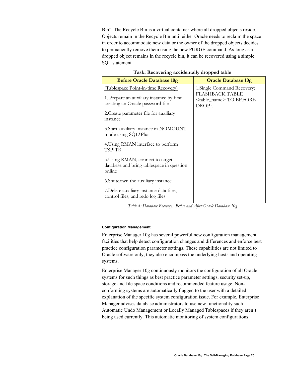<span id="page-24-0"></span>Bin". The Recycle Bin is a virtual container where all dropped objects reside. Objects remain in the Recycle Bin until either Oracle needs to reclaim the space in order to accommodate new data or the owner of the dropped objects decides to permanently remove them using the new PURGE command. As long as a dropped object remains in the recycle bin, it can be recovered using a simple SQL statement.

| r ash, hecovering accidentally dropped table                                                                         |                                                                                                     |  |  |
|----------------------------------------------------------------------------------------------------------------------|-----------------------------------------------------------------------------------------------------|--|--|
| <b>Before Oracle Database 10g</b>                                                                                    | <b>Oracle Database 10g</b>                                                                          |  |  |
| (Tablespace Point-in-time Recovery)<br>1. Prepare an auxiliary instance by first<br>creating an Oracle password file | 1. Single Command Recovery:<br><b>FLASHBACK TABLE</b><br><table name="">TO BEFORE<br/>DROP;</table> |  |  |
| 2. Create parameter file for auxiliary<br>instance                                                                   |                                                                                                     |  |  |
| 3. Start auxiliary instance in NOMOUNT<br>mode using SQL*Plus                                                        |                                                                                                     |  |  |
| 4. Using RMAN interface to perform<br>TSPITR                                                                         |                                                                                                     |  |  |
| 5. Using RMAN, connect to target<br>database and bring tablespace in question<br>online                              |                                                                                                     |  |  |
| 6. Shutdown the auxiliary instance                                                                                   |                                                                                                     |  |  |
| 7. Delete auxiliary instance data files,<br>control files, and redo log files                                        |                                                                                                     |  |  |

# **Task: Recovering accidentally dropped table**

*Table 4: Database Recovery: Before and After Oracle Database 10g* 

#### **Configuration Management**

Enterprise Manager 10g has several powerful new configuration management facilities that help detect configuration changes and differences and enforce best practice configuration parameter settings. These capabilities are not limited to Oracle software only, they also encompass the underlying hosts and operating systems.

Enterprise Manager 10g continuously monitors the configuration of all Oracle systems for such things as best practice parameter settings, security set-up, storage and file space conditions and recommended feature usage. Nonconforming systems are automatically flagged to the user with a detailed explanation of the specific system configuration issue. For example, Enterprise Manager advises database administrators to use new functionality such Automatic Undo Management or Locally Managed Tablespaces if they aren't being used currently. This automatic monitoring of system configurations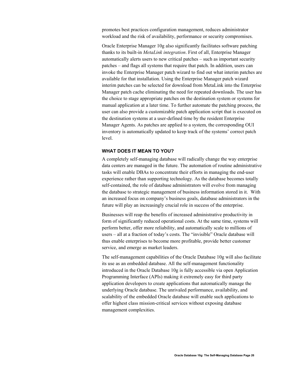<span id="page-25-0"></span>promotes best practices configuration management, reduces administrator workload and the risk of availability, performance or security compromises.

Oracle Enterprise Manager 10g also significantly facilitates software patching thanks to its built-in *MetaLink integration*. First of all, Enterprise Manager automatically alerts users to new critical patches – such as important security patches – and flags all systems that require that patch. In addition, users can invoke the Enterprise Manager patch wizard to find out what interim patches are available for that installation. Using the Enterprise Manager patch wizard interim patches can be selected for download from MetaLink into the Enterprise Manager patch cache eliminating the need for repeated downloads. The user has the choice to stage appropriate patches on the destination system or systems for manual application at a later time. To further automate the patching process, the user can also provide a customizable patch application script that is executed on the destination systems at a user-defined time by the resident Enterprise Manager Agents. As patches are applied to a system, the corresponding OUI inventory is automatically updated to keep track of the systems' correct patch level.

# **WHAT DOES IT MEAN TO YOU?**

A completely self-managing database will radically change the way enterprise data centers are managed in the future. The automation of routine administrative tasks will enable DBAs to concentrate their efforts in managing the end-user experience rather than supporting technology. As the database becomes totally self-contained, the role of database administrators will evolve from managing the database to strategic management of business information stored in it. With an increased focus on company's business goals, database administrators in the future will play an increasingly crucial role in success of the enterprise.

Businesses will reap the benefits of increased administrative productivity in form of significantly reduced operational costs. At the same time, systems will perform better, offer more reliability, and automatically scale to millions of users – all at a fraction of today's costs. The "invisible" Oracle database will thus enable enterprises to become more profitable, provide better customer service, and emerge as market leaders.

The self-management capabilities of the Oracle Database 10g will also facilitate its use as an embedded database. All the self-management functionality introduced in the Oracle Database 10g is fully accessible via open Application Programming Interface (APIs) making it extremely easy for third party application developers to create applications that automatically manage the underlying Oracle database. The unrivaled performance, availability, and scalability of the embedded Oracle database will enable such applications to offer highest class mission-critical services without exposing database management complexities.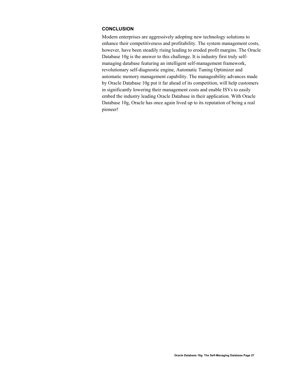# <span id="page-26-0"></span>**CONCLUSION**

Modern enterprises are aggressively adopting new technology solutions to enhance their competitiveness and profitability. The system management costs, however, have been steadily rising leading to eroded profit margins. The Oracle Database 10g is the answer to this challenge. It is industry first truly selfmanaging database featuring an intelligent self-management framework, revolutionary self-diagnostic engine, Automatic Tuning Optimizer and automatic memory management capability. The manageability advances made by Oracle Database 10g put it far ahead of its competition, will help customers in significantly lowering their management costs and enable ISVs to easily embed the industry leading Oracle Database in their application. With Oracle Database 10g, Oracle has once again lived up to its reputation of being a real pioneer!